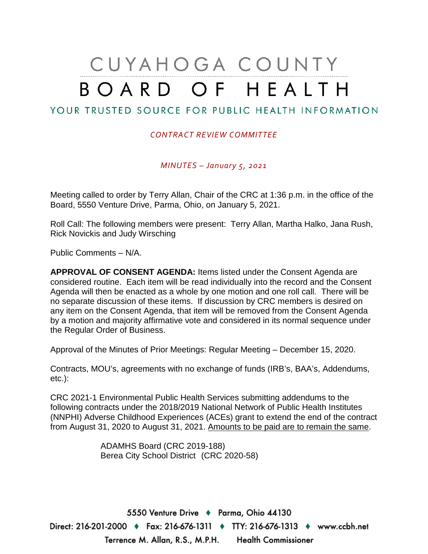## CUYAHOGA COUNTY BOARD OF HEALTH

## YOUR TRUSTED SOURCE FOR PUBLIC HEALTH INFORMATION

## *CONTRACT REVIEW COMMITTEE*

*MINUTES – January 5, 2021*

Meeting called to order by Terry Allan, Chair of the CRC at 1:36 p.m. in the office of the Board, 5550 Venture Drive, Parma, Ohio, on January 5, 2021.

Roll Call: The following members were present: Terry Allan, Martha Halko, Jana Rush, Rick Novickis and Judy Wirsching

Public Comments – N/A.

**APPROVAL OF CONSENT AGENDA:** Items listed under the Consent Agenda are considered routine. Each item will be read individually into the record and the Consent Agenda will then be enacted as a whole by one motion and one roll call. There will be no separate discussion of these items. If discussion by CRC members is desired on any item on the Consent Agenda, that item will be removed from the Consent Agenda by a motion and majority affirmative vote and considered in its normal sequence under the Regular Order of Business.

Approval of the Minutes of Prior Meetings: Regular Meeting – December 15, 2020.

Contracts, MOU's, agreements with no exchange of funds (IRB's, BAA's, Addendums, etc.):

CRC 2021-1 Environmental Public Health Services submitting addendums to the following contracts under the 2018/2019 National Network of Public Health Institutes (NNPHI) Adverse Childhood Experiences (ACEs) grant to extend the end of the contract from August 31, 2020 to August 31, 2021. Amounts to be paid are to remain the same.

> ADAMHS Board (CRC 2019-188) Berea City School District (CRC 2020-58)

5550 Venture Drive + Parma, Ohio 44130 Direct: 216-201-2000 ♦ Fax: 216-676-1311 ♦ TTY: 216-676-1313 ♦ www.ccbh.net Terrence M. Allan, R.S., M.P.H. Health Commissioner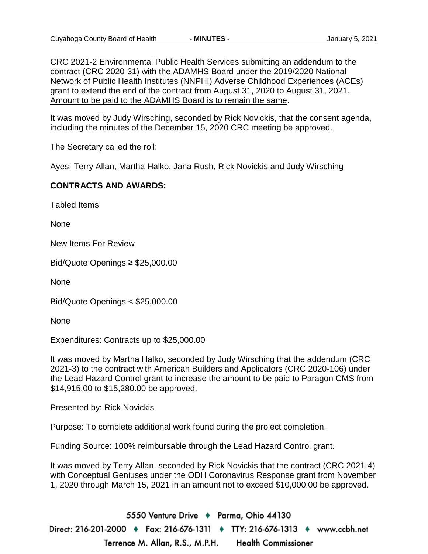CRC 2021-2 Environmental Public Health Services submitting an addendum to the contract (CRC 2020-31) with the ADAMHS Board under the 2019/2020 National Network of Public Health Institutes (NNPHI) Adverse Childhood Experiences (ACEs) grant to extend the end of the contract from August 31, 2020 to August 31, 2021. Amount to be paid to the ADAMHS Board is to remain the same.

It was moved by Judy Wirsching, seconded by Rick Novickis, that the consent agenda, including the minutes of the December 15, 2020 CRC meeting be approved.

The Secretary called the roll:

Ayes: Terry Allan, Martha Halko, Jana Rush, Rick Novickis and Judy Wirsching

## **CONTRACTS AND AWARDS:**

Tabled Items

None

New Items For Review

Bid/Quote Openings ≥ \$25,000.00

None

Bid/Quote Openings < \$25,000.00

None

Expenditures: Contracts up to \$25,000.00

It was moved by Martha Halko, seconded by Judy Wirsching that the addendum (CRC 2021-3) to the contract with American Builders and Applicators (CRC 2020-106) under the Lead Hazard Control grant to increase the amount to be paid to Paragon CMS from \$14,915.00 to \$15,280.00 be approved.

Presented by: Rick Novickis

Purpose: To complete additional work found during the project completion.

Funding Source: 100% reimbursable through the Lead Hazard Control grant.

It was moved by Terry Allan, seconded by Rick Novickis that the contract (CRC 2021-4) with Conceptual Geniuses under the ODH Coronavirus Response grant from November 1, 2020 through March 15, 2021 in an amount not to exceed \$10,000.00 be approved.

5550 Venture Drive + Parma, Ohio 44130 Direct: 216-201-2000 ♦ Fax: 216-676-1311 ♦ TTY: 216-676-1313 ♦ www.ccbh.net Terrence M. Allan, R.S., M.P.H. **Health Commissioner**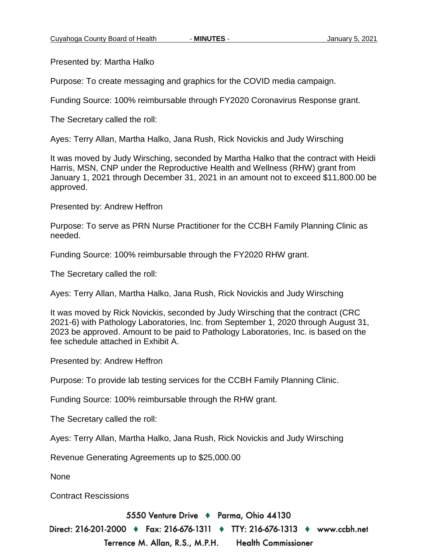Presented by: Martha Halko

Purpose: To create messaging and graphics for the COVID media campaign.

Funding Source: 100% reimbursable through FY2020 Coronavirus Response grant.

The Secretary called the roll:

Ayes: Terry Allan, Martha Halko, Jana Rush, Rick Novickis and Judy Wirsching

It was moved by Judy Wirsching, seconded by Martha Halko that the contract with Heidi Harris, MSN, CNP under the Reproductive Health and Wellness (RHW) grant from January 1, 2021 through December 31, 2021 in an amount not to exceed \$11,800.00 be approved.

Presented by: Andrew Heffron

Purpose: To serve as PRN Nurse Practitioner for the CCBH Family Planning Clinic as needed.

Funding Source: 100% reimbursable through the FY2020 RHW grant.

The Secretary called the roll:

Ayes: Terry Allan, Martha Halko, Jana Rush, Rick Novickis and Judy Wirsching

It was moved by Rick Novickis, seconded by Judy Wirsching that the contract (CRC 2021-6) with Pathology Laboratories, Inc. from September 1, 2020 through August 31, 2023 be approved. Amount to be paid to Pathology Laboratories, Inc. is based on the fee schedule attached in Exhibit A.

Presented by: Andrew Heffron

Purpose: To provide lab testing services for the CCBH Family Planning Clinic.

Funding Source: 100% reimbursable through the RHW grant.

The Secretary called the roll:

Ayes: Terry Allan, Martha Halko, Jana Rush, Rick Novickis and Judy Wirsching

Revenue Generating Agreements up to \$25,000.00

None

Contract Rescissions

5550 Venture Drive + Parma, Ohio 44130

Direct: 216-201-2000 ♦ Fax: 216-676-1311 ♦ TTY: 216-676-1313 ♦ www.ccbh.net

Terrence M. Allan, R.S., M.P.H. **Health Commissioner**